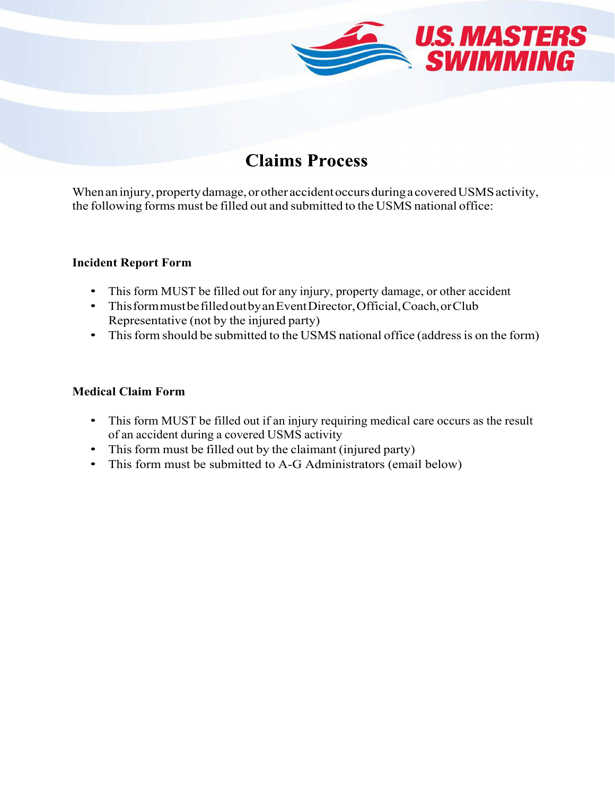

## **Claims Process**

When an injury, property damage, or other accident occurs during a covered USMS activity, the following forms must be filled out and submitted to the USMS national office:

#### **Incident Report Form**

- This form MUST be filled out for any injury, property damage, or other accident
- This form must be filled out by an Event Director, Official, Coach, or Club Representative (not by the injured party)
- This form should be submitted to the USMS national office (address is on the form)

#### **Medical Claim Form**

- This form MUST be filled out if an injury requiring medical care occurs as the result of an accident during a covered USMS activity
- This form must be filled out by the claimant (injured party)
- This form must be submitted to A-G Administrators (email below)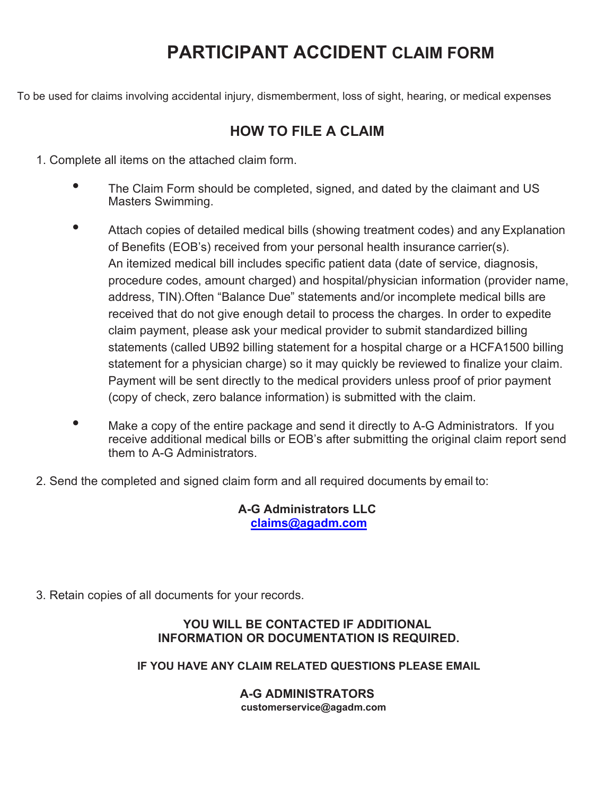## **PARTICIPANT ACCIDENT CLAIM FORM**

To be used for claims involving accidental injury, dismemberment, loss of sight, hearing, or medical expenses

## **HOW TO FILE A CLAIM**

1. Complete all items on the attached claim form.

- The Claim Form should be completed, signed, and dated by the claimant and US Masters Swimming.
- Attach copies of detailed medical bills (showing treatment codes) and any Explanation of Benefits (EOB's) received from your personal health insurance carrier(s). An itemized medical bill includes specific patient data (date of service, diagnosis, procedure codes, amount charged) and hospital/physician information (provider name, address, TIN).Often "Balance Due" statements and/or incomplete medical bills are received that do not give enough detail to process the charges. In order to expedite claim payment, please ask your medical provider to submit standardized billing statements (called UB92 billing statement for a hospital charge or a HCFA1500 billing statement for a physician charge) so it may quickly be reviewed to finalize your claim. Payment will be sent directly to the medical providers unless proof of prior payment (copy of check, zero balance information) is submitted with the claim.
- Make a copy of the entire package and send it directly to A-G Administrators. If you receive additional medical bills or EOB's after submitting the original claim report send them to A-G Administrators.
- 2. Send the completed and signed claim form and all required documents by email to:

### **A-G Administrators LLC claims@agadm.com**

3. Retain copies of all documents for your records.

#### **YOU WILL BE CONTACTED IF ADDITIONAL INFORMATION OR DOCUMENTATION IS REQUIRED.**

### **IF YOU HAVE ANY CLAIM RELATED QUESTIONS PLEASE EMAIL**

#### **A-G ADMINISTRATORS customerservice@agadm.com**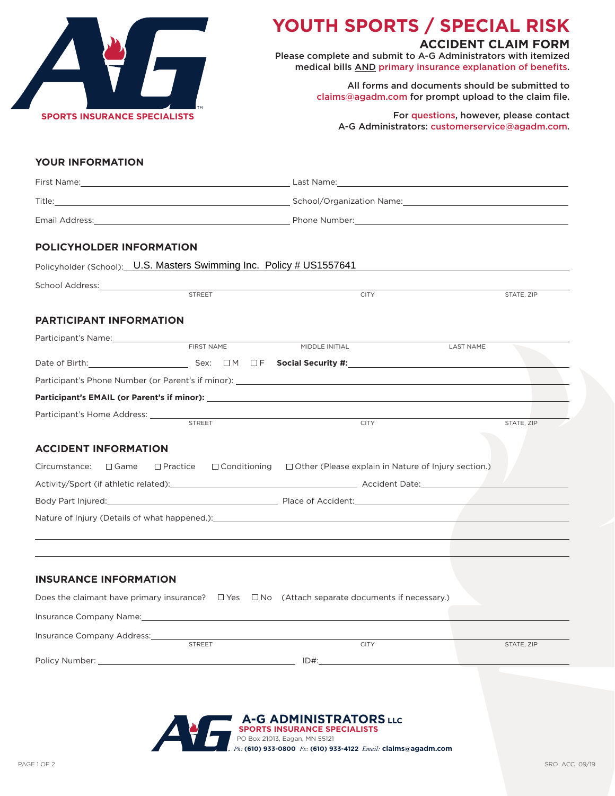

# **YOUTH SPORTS / SPECIAL RISK**

### **ACCIDENT CLAIM FORM**

Please complete and submit to A-G Administrators with itemized medical bills AND primary insurance explanation of benefits.

> All forms and documents should be submitted to claims@agadm.com for prompt upload to the claim file.

For questions, however, please contact A-G Administrators: customerservice@agadm.com.

#### **YOUR INFORMATION**

|                                                                      |               | Email Address: No. 2008. The Property of the Mumber: No. 2008. The Property of the Mumber: No. 2008. The Mumber of the Mumber of the Mumber of the Mumber of the Mumber of the Mumber of the Mumber of the Mumber of the Mumbe |                  |
|----------------------------------------------------------------------|---------------|--------------------------------------------------------------------------------------------------------------------------------------------------------------------------------------------------------------------------------|------------------|
| POLICYHOLDER INFORMATION                                             |               |                                                                                                                                                                                                                                |                  |
| Policyholder (School): U.S. Masters Swimming Inc. Policy # US1557641 |               |                                                                                                                                                                                                                                |                  |
|                                                                      | <b>STREET</b> | <b>CITY</b>                                                                                                                                                                                                                    | STATE, ZIP       |
| <b>PARTICIPANT INFORMATION</b>                                       |               |                                                                                                                                                                                                                                |                  |
|                                                                      | FIRST NAME    | MIDDLE INITIAL                                                                                                                                                                                                                 | <b>LAST NAME</b> |
|                                                                      |               | Date of Birth: $\Box$ Sex: $\Box M$ $\Box F$ Social Security #: $\Box$                                                                                                                                                         |                  |
|                                                                      |               |                                                                                                                                                                                                                                |                  |
|                                                                      |               |                                                                                                                                                                                                                                |                  |
| Participant's Home Address: _______________                          | <b>STREET</b> | the control of the control of the control of the control of the control of the control of                                                                                                                                      |                  |
|                                                                      |               | <b>CITY</b>                                                                                                                                                                                                                    | STATE, ZIP       |
| <b>ACCIDENT INFORMATION</b>                                          |               |                                                                                                                                                                                                                                |                  |
| Circumstance:<br>$\square$ Game                                      |               | $\Box$ Practice $\Box$ Conditioning $\Box$ Other (Please explain in Nature of Injury section.)                                                                                                                                 |                  |
|                                                                      |               |                                                                                                                                                                                                                                |                  |
|                                                                      |               | Body Part Injured: 2008 Contract Department of Accidents Place of Accident: 2008 Part Injured: 2008 Part Injured:                                                                                                              |                  |
|                                                                      |               | Nature of Injury (Details of what happened.): Natural Material Communication of the Communication of the Communication of the Communication of the Communication of the Communication of the Communication of the Communicatio |                  |
|                                                                      |               |                                                                                                                                                                                                                                |                  |
|                                                                      |               |                                                                                                                                                                                                                                |                  |
| <b>INSURANCE INFORMATION</b>                                         |               |                                                                                                                                                                                                                                |                  |
|                                                                      |               | Does the claimant have primary insurance? $\square$ Yes $\square$ No (Attach separate documents if necessary.)                                                                                                                 |                  |
| Insurance Company Name:                                              |               |                                                                                                                                                                                                                                |                  |
|                                                                      |               |                                                                                                                                                                                                                                |                  |

| STATE, ZIP |
|------------|
|            |
|            |